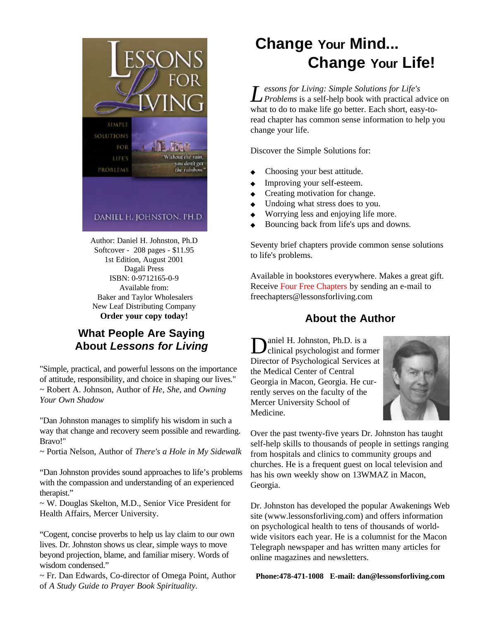

Author: Daniel H. Johnston, Ph.D Softcover - 208 pages - \$11.95 1st Edition, August 2001 Dagali Press ISBN: 0-9712165-0-9 Available from: Baker and Taylor Wholesalers New Leaf Distributing Company **Order your copy today!**

# **What People Are Saying About Lessons for Living**

"Simple, practical, and powerful lessons on the importance of attitude, responsibility, and choice in shaping our lives." ~ Robert A. Johnson, Author of *He*, *She*, and *Owning Your Own Shadow*

"Dan Johnston manages to simplify his wisdom in such a way that change and recovery seem possible and rewarding. Bravo!"

~ Portia Nelson, Author of *There's a Hole in My Sidewalk*

"Dan Johnston provides sound approaches to life's problems with the compassion and understanding of an experienced therapist."

~ W. Douglas Skelton, M.D., Senior Vice President for Health Affairs, Mercer University.

"Cogent, concise proverbs to help us lay claim to our own lives. Dr. Johnston shows us clear, simple ways to move beyond projection, blame, and familiar misery. Words of wisdom condensed."

~ Fr. Dan Edwards, Co-director of Omega Point, Author of *A Study Guide to Prayer Book Spirituality.*

# **Change Your Mind... Change Your Life!**

*L essons for Living: Simple Solutions for Life's Problems* is a self-help book with practical advice on what to do to make life go better. Each short, easy-toread chapter has common sense information to help you change your life.

Discover the Simple Solutions for:

- ◆ Choosing your best attitude.
- ◆ Improving your self-esteem.
- ◆ Creating motivation for change.
- ◆ Undoing what stress does to you.
- ◆ Worrying less and enjoying life more.
- Bouncing back from life's ups and downs.

Seventy brief chapters provide common sense solutions to life's problems.

Available in bookstores everywhere. Makes a great gift. Receive Four Free Chapters by sending an e-mail to freechapters@lessonsforliving.com

# **About the Author**

D aniel H. Johnston, Ph.D. is a clinical psychologist and former Director of Psychological Services at the Medical Center of Central Georgia in Macon, Georgia. He currently serves on the faculty of the Mercer University School of Medicine.



Over the past twenty-five years Dr. Johnston has taught self-help skills to thousands of people in settings ranging from hospitals and clinics to community groups and churches. He is a frequent guest on local television and has his own weekly show on 13WMAZ in Macon, Georgia.

Dr. Johnston has developed the popular Awakenings Web site (www.lessonsforliving.com) and offers information on psychological health to tens of thousands of worldwide visitors each year. He is a columnist for the Macon Telegraph newspaper and has written many articles for online magazines and newsletters.

**Phone:478-471-1008 E-mail: dan@lessonsforliving.com**